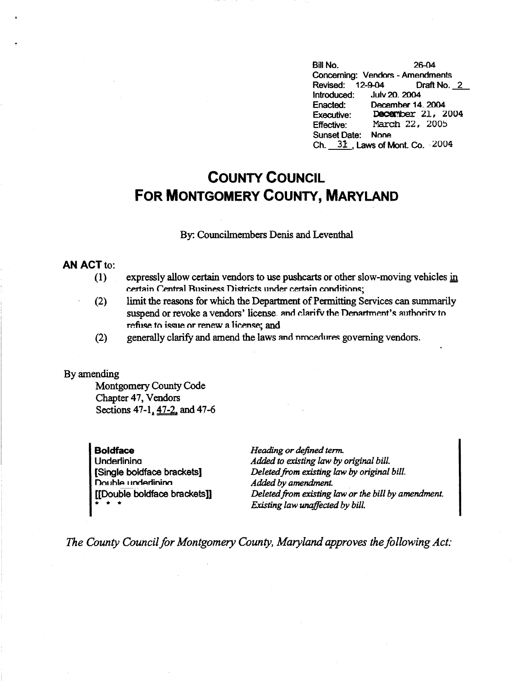Bill No. 26-04 Concerning: Vendors - Amendments Revised: 12-9-04 Draft No.\_£\_ Introduced: Julv 20. 2004 Enacted: December 14. 2004 Executive: **December 21, 2004** Effective: March 22, 2005 Sunset Date: None Ch.  $31$ . Laws of Mont. Co.  $2004$ 

## **COUNTY COUNCIL FOR MONTGOMERY COUNTY, MARYLAND**

By: Councilmembers Denis and Leventhal

## **AN ACT** to:

- (1) expressly allow certain vendors to use pushcarts or other slow-moving vehicles in certain Central Rusiness Districts under certain conditions:
- (2) limit the reasons for which the Department of Permitting Services can summarily suspend or revoke a vendors' license. and clarify the Denartment's authority to refuse to issue or renew a license; and
- (2) generally clarify and amend the laws and nmcedures governing vendors.

## By amending

Montgomery County Code Chapter 47, Vendors Sections 47-1, 47-2, and 47-6

**Boldface Underlining** [Single boldface brackets] **nn, 1hlA** I **JnnArlininn**  [[Double boldface brackets]] \* \* \*

*Heading or defined term. Added to existing law by original bill. Deleted from existing law by original bill. Added by amendment. Deleted from existing law or the bill by amendment. Existing law unaffected by bill.* 

*The County Council for Montgomery County, Maryland approves the following Act:*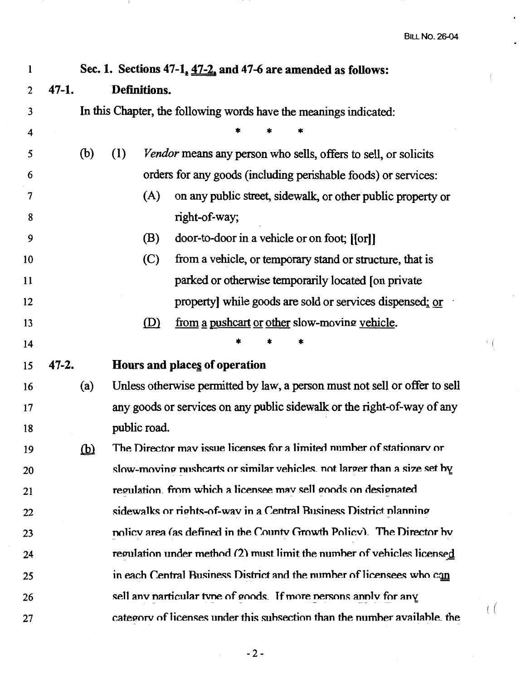l,

 $\frac{1}{2}$ 

; (

 $\left($ 

| 1  | Sec. 1. Sections 47-1, 47-2, and 47-6 are amended as follows:            |                         |              |                                                                            |  |  |  |  |
|----|--------------------------------------------------------------------------|-------------------------|--------------|----------------------------------------------------------------------------|--|--|--|--|
| 2  | $47 - 1.$                                                                | Definitions.            |              |                                                                            |  |  |  |  |
| 3  | In this Chapter, the following words have the meanings indicated:        |                         |              |                                                                            |  |  |  |  |
| 4  |                                                                          |                         |              |                                                                            |  |  |  |  |
| 5  |                                                                          | (b)                     | (1)          | Vendor means any person who sells, offers to sell, or solicits             |  |  |  |  |
| 6  |                                                                          |                         |              | orders for any goods (including perishable foods) or services:             |  |  |  |  |
| 7  |                                                                          |                         | (A)          | on any public street, sidewalk, or other public property or                |  |  |  |  |
| 8  |                                                                          |                         |              | right-of-way;                                                              |  |  |  |  |
| 9  |                                                                          |                         | (B)          | door-to-door in a vehicle or on foot; [[or]]                               |  |  |  |  |
| 10 |                                                                          |                         | (C)          | from a vehicle, or temporary stand or structure, that is                   |  |  |  |  |
| 11 |                                                                          |                         |              | parked or otherwise temporarily located [on private                        |  |  |  |  |
| 12 |                                                                          |                         |              | property] while goods are sold or services dispensed; or                   |  |  |  |  |
| 13 |                                                                          |                         | (D)          | from a pushcart or other slow-moving vehicle.                              |  |  |  |  |
| 14 |                                                                          |                         |              |                                                                            |  |  |  |  |
| 15 | $47 - 2.$                                                                |                         |              | Hours and places of operation                                              |  |  |  |  |
| 16 |                                                                          | (a)                     |              | Unless otherwise permitted by law, a person must not sell or offer to sell |  |  |  |  |
| 17 |                                                                          |                         |              | any goods or services on any public sidewalk or the right-of-way of any    |  |  |  |  |
| 18 |                                                                          |                         | public road. |                                                                            |  |  |  |  |
| 19 |                                                                          | $\overline{\mathbf{p}}$ |              | The Director may issue licenses for a limited number of stationary or      |  |  |  |  |
| 20 | slow-moving pushcarts or similar vehicles, not larger than a size set by |                         |              |                                                                            |  |  |  |  |
| 21 | regulation. from which a licensee may sell goods on designated           |                         |              |                                                                            |  |  |  |  |
| 22 | sidewalks or rights-of-way in a Central Business District planning       |                         |              |                                                                            |  |  |  |  |
| 23 |                                                                          |                         |              | nolicy area (as defined in the County Growth Policy). The Director by      |  |  |  |  |
| 24 |                                                                          |                         |              | regulation under method (2) must limit the number of vehicles licensed     |  |  |  |  |
| 25 |                                                                          |                         |              | in each Central Business District and the number of licensees who can      |  |  |  |  |
| 26 |                                                                          |                         |              | sell any narticular type of goods. If more persons apply for any           |  |  |  |  |
| 27 |                                                                          |                         |              | category of licenses under this subsection than the number available, the  |  |  |  |  |

 $\mathbf{1}$ 

 $-2-$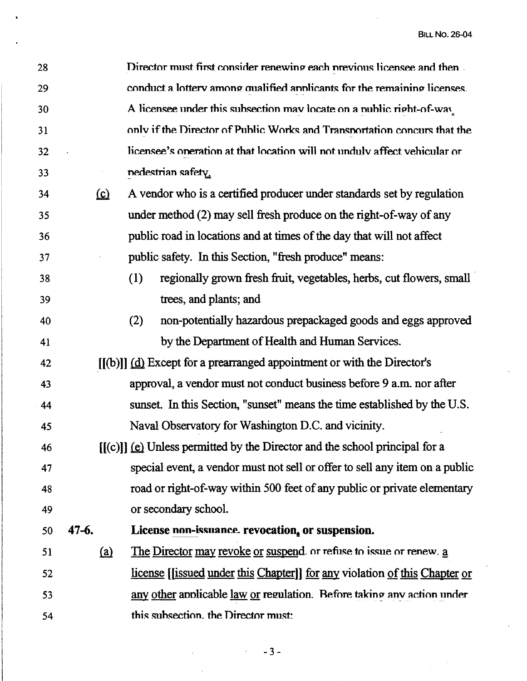| 28 |            | Director must first consider renewing each previous licensee and then                      |  |  |  |  |
|----|------------|--------------------------------------------------------------------------------------------|--|--|--|--|
| 29 |            | conduct a lottery among qualified applicants for the remaining licenses.                   |  |  |  |  |
| 30 |            | A licensee under this subsection may locate on a nublic right-of-way                       |  |  |  |  |
| 31 |            | only if the Director of Public Works and Transportation concurs that the                   |  |  |  |  |
| 32 |            | licensee's operation at that location will not unduly affect vehicular or                  |  |  |  |  |
| 33 |            | nedestrian safety.                                                                         |  |  |  |  |
| 34 | <u>(c)</u> | A vendor who is a certified producer under standards set by regulation                     |  |  |  |  |
| 35 |            | under method (2) may sell fresh produce on the right-of-way of any                         |  |  |  |  |
| 36 |            | public road in locations and at times of the day that will not affect                      |  |  |  |  |
| 37 |            | public safety. In this Section, "fresh produce" means:                                     |  |  |  |  |
| 38 |            | (1)<br>regionally grown fresh fruit, vegetables, herbs, cut flowers, small                 |  |  |  |  |
| 39 |            | trees, and plants; and                                                                     |  |  |  |  |
| 40 |            | (2)<br>non-potentially hazardous prepackaged goods and eggs approved                       |  |  |  |  |
| 41 |            | by the Department of Health and Human Services.                                            |  |  |  |  |
| 42 |            | $[(b)]$ (d) Except for a prearranged appointment or with the Director's                    |  |  |  |  |
| 43 |            | approval, a vendor must not conduct business before 9 a.m. nor after                       |  |  |  |  |
| 44 |            | sunset. In this Section, "sunset" means the time established by the U.S.                   |  |  |  |  |
| 45 |            | Naval Observatory for Washington D.C. and vicinity.                                        |  |  |  |  |
| 46 |            | [[(c)]] (e) Unless permitted by the Director and the school principal for a                |  |  |  |  |
| 47 |            | special event, a vendor must not sell or offer to sell any item on a public                |  |  |  |  |
| 48 |            | road or right-of-way within 500 feet of any public or private elementary                   |  |  |  |  |
| 49 |            | or secondary school.                                                                       |  |  |  |  |
| 50 | $47 - 6.$  | License non-issuance revocation, or suspension.                                            |  |  |  |  |
| 51 | (a)        | The Director may revoke or suspend or refuse to issue or renew. a                          |  |  |  |  |
| 52 |            | <u>license</u> [ <i>[issued under this Chapter</i> ]] for any violation of this Chapter or |  |  |  |  |
| 53 |            | any other applicable law or regulation. Before taking any action under                     |  |  |  |  |
| 54 |            | this subsection, the Director must:                                                        |  |  |  |  |
|    |            |                                                                                            |  |  |  |  |

-3-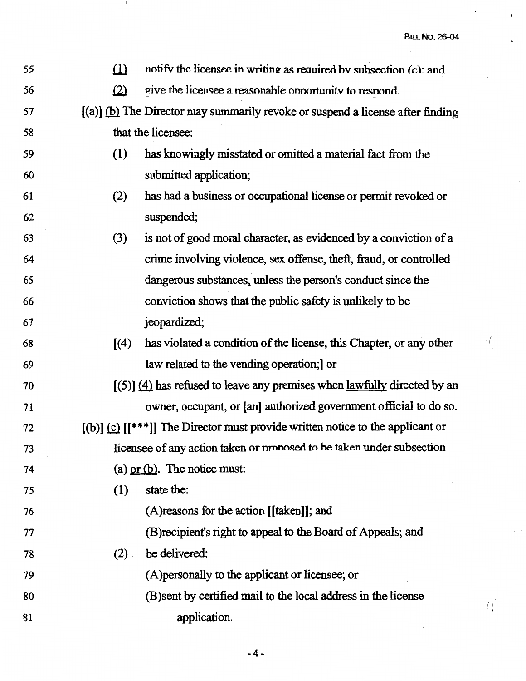$\mathbf{I}$ 

 $\mathfrak{f}$ 

 $^{\dagger}$  (

( (

| 55 | $\Omega$                                                                         | notify the licensee in writing as required by subsection (c): and                  |  |  |  |  |  |
|----|----------------------------------------------------------------------------------|------------------------------------------------------------------------------------|--|--|--|--|--|
| 56 | (2)                                                                              | give the licensee a reasonable opportunity to respond.                             |  |  |  |  |  |
| 57 | $[(a)]$ (b) The Director may summarily revoke or suspend a license after finding |                                                                                    |  |  |  |  |  |
| 58 |                                                                                  | that the licensee:                                                                 |  |  |  |  |  |
| 59 | (1)                                                                              | has knowingly misstated or omitted a material fact from the                        |  |  |  |  |  |
| 60 |                                                                                  | submitted application;                                                             |  |  |  |  |  |
| 61 | (2)                                                                              | has had a business or occupational license or permit revoked or                    |  |  |  |  |  |
| 62 |                                                                                  | suspended;                                                                         |  |  |  |  |  |
| 63 | (3)                                                                              | is not of good moral character, as evidenced by a conviction of a                  |  |  |  |  |  |
| 64 |                                                                                  | crime involving violence, sex offense, theft, fraud, or controlled                 |  |  |  |  |  |
| 65 |                                                                                  | dangerous substances, unless the person's conduct since the                        |  |  |  |  |  |
| 66 |                                                                                  | conviction shows that the public safety is unlikely to be                          |  |  |  |  |  |
| 67 |                                                                                  | jeopardized;                                                                       |  |  |  |  |  |
| 68 | $\sqrt{4}$                                                                       | has violated a condition of the license, this Chapter, or any other                |  |  |  |  |  |
| 69 |                                                                                  | law related to the vending operation; or                                           |  |  |  |  |  |
| 70 | $(5)$ (4) has refused to leave any premises when lawfully directed by an         |                                                                                    |  |  |  |  |  |
| 71 |                                                                                  | owner, occupant, or [an] authorized government official to do so.                  |  |  |  |  |  |
| 72 |                                                                                  | $[(b)]$ (c) $[(***]]$ The Director must provide written notice to the applicant or |  |  |  |  |  |
| 73 | licensee of any action taken or proposed to be taken under subsection            |                                                                                    |  |  |  |  |  |
| 74 |                                                                                  | (a) $or$ (b). The notice must:                                                     |  |  |  |  |  |
| 75 | (1)                                                                              | state the:                                                                         |  |  |  |  |  |
| 76 |                                                                                  | (A) reasons for the action [[taken]]; and                                          |  |  |  |  |  |
| 77 |                                                                                  | (B) recipient's right to appeal to the Board of Appeals; and                       |  |  |  |  |  |
| 78 | (2)                                                                              | be delivered:                                                                      |  |  |  |  |  |
| 79 |                                                                                  | (A) personally to the applicant or licensee; or                                    |  |  |  |  |  |
| 80 |                                                                                  | (B) sent by certified mail to the local address in the license                     |  |  |  |  |  |
| 81 |                                                                                  | application.                                                                       |  |  |  |  |  |

 $\hat{\mathcal{L}}$ 

 $\mathbf{I}$ 

-4-